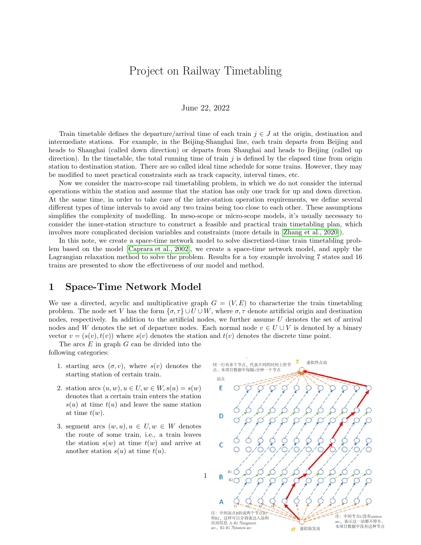# Project on Railway Timetabling

#### June 22, 2022

Train timetable defines the departure/arrival time of each train  $j \in J$  at the origin, destination and intermediate stations. For example, in the Beijing-Shanghai line, each train departs from Beijing and heads to Shanghai (called down direction) or departs from Shanghai and heads to Beijing (called up direction). In the timetable, the total running time of train  $j$  is defined by the elapsed time from origin station to destination station. There are so called ideal time schedule for some trains. However, they may be modified to meet practical constraints such as track capacity, interval times, etc.

Now we consider the macro-scope rail timetabling problem, in which we do not consider the internal operations within the station and assume that the station has only one track for up and down direction. At the same time, in order to take care of the inter-station operation requirements, we define several different types of time intervals to avoid any two trains being too close to each other. These assumptions simplifies the complexity of modelling. In meso-scope or micro-scope models, it's usually necessary to consider the inner-station structure to construct a feasible and practical train timetabling plan, which involves more complicated decision variables and constraints (more details in [\[Zhang et al., 2020\]](#page-9-0)).

In this note, we create a space-time network model to solve discretized-time train timetabling problem based on the model [\[Caprara et al., 2002\]](#page-9-1), we create a space-time network model, and apply the Lagrangian relaxation method to solve the problem. Results for a toy example involving 7 states and 16 trains are presented to show the effectiveness of our model and method.

### 1 Space-Time Network Model

We use a directed, acyclic and multiplicative graph  $G = (V, E)$  to characterize the train timetabling problem. The node set V has the form  $\{\sigma, \tau\} \cup U \cup W$ , where  $\sigma, \tau$  denote artificial origin and destination nodes, respectively. In addition to the artificial nodes, we further assume U denotes the set of arrival nodes and W denotes the set of departure nodes. Each normal node  $v \in U \cup V$  is denoted by a binary vector  $v = (s(v), t(v))$  where  $s(v)$  denotes the station and  $t(v)$  denotes the discrete time point.

The arcs  $E$  in graph  $G$  can be divided into the following categories:

- 1. starting arcs  $(\sigma, v)$ , where  $s(v)$  denotes the starting station of certain train.
- 2. station arcs  $(u, w), u \in U, w \in W, s(u) = s(w)$ denotes that a certain train enters the station  $s(u)$  at time  $t(u)$  and leave the same station at time  $t(w)$ .
- 3. segment arcs  $(w, u), u \in U, w \in W$  denotes the route of some train, i.e., a train leaves the station  $s(w)$  at time  $t(w)$  and arrive at another station  $s(u)$  at time  $t(u)$ .

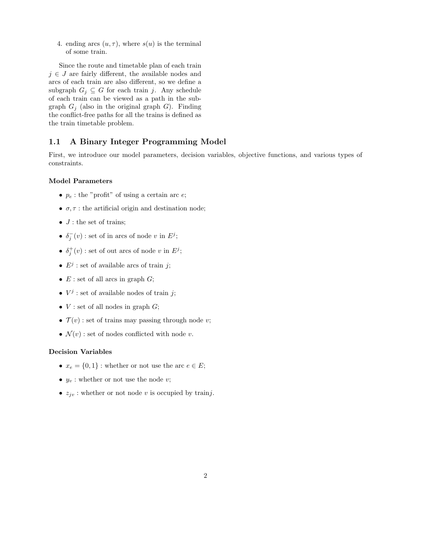4. ending arcs  $(u, \tau)$ , where  $s(u)$  is the terminal of some train.

Since the route and timetable plan of each train  $j \in J$  are fairly different, the available nodes and arcs of each train are also different, so we define a subgraph  $G_j \subseteq G$  for each train j. Any schedule of each train can be viewed as a path in the subgraph  $G_i$  (also in the original graph G). Finding the conflict-free paths for all the trains is defined as the train timetable problem.

### 1.1 A Binary Integer Programming Model

First, we introduce our model parameters, decision variables, objective functions, and various types of constraints.

#### Model Parameters

- $p_e$ : the "profit" of using a certain arc  $e$ ;
- $\sigma, \tau$ : the artificial origin and destination node;
- $J:$  the set of trains;
- $\delta_j^-(v)$ : set of in arcs of node v in  $E^j$ ;
- $\delta_j^+(v)$ : set of out arcs of node v in  $E^j$ ;
- $E^j$ : set of available arcs of train j;
- $E$ : set of all arcs in graph  $G$ ;
- $V^j$ : set of available nodes of train j;
- $V$  : set of all nodes in graph  $G$ ;
- $\mathcal{T}(v)$ : set of trains may passing through node v;
- $\mathcal{N}(v)$ : set of nodes conflicted with node v.

#### Decision Variables

- $x_e = \{0, 1\}$ : whether or not use the arc  $e \in E$ ;
- $y_v$ : whether or not use the node v;
- $z_{jv}$ : whether or not node v is occupied by trainj.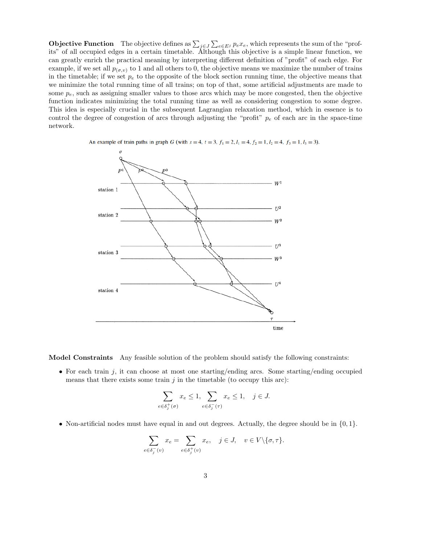**Objective Function** The objective defines as  $\sum_{j\in J}\sum_{e\in E^j}p_ex_e$ , which represents the sum of the "profits" of all occupied edges in a certain timetable. Although this objective is a simple linear function, we can greatly enrich the practical meaning by interpreting different definition of "profit" of each edge. For example, if we set all  $p_{(\sigma,v)}$  to 1 and all others to 0, the objective means we maximize the number of trains in the timetable; if we set  $p_e$  to the opposite of the block section running time, the objective means that we minimize the total running time of all trains; on top of that, some artificial adjustments are made to some  $p_e$ , such as assigning smaller values to those arcs which may be more congested, then the objective function indicates minimizing the total running time as well as considering congestion to some degree. This idea is especially crucial in the subsequent Lagrangian relaxation method, which in essence is to control the degree of congestion of arcs through adjusting the "profit"  $p_e$  of each arc in the space-time network.



An example of train paths in graph G (with  $s = 4$ ,  $t = 3$ ,  $f_1 = 2$ ,  $l_1 = 4$ ,  $f_2 = 1$ ,  $l_2 = 4$ ,  $f_3 = 1$ ,  $l_3 = 3$ ).

Model Constraints Any feasible solution of the problem should satisfy the following constraints:

• For each train j, it can choose at most one starting/ending arcs. Some starting/ending occupied means that there exists some train  $j$  in the timetable (to occupy this arc):

$$
\sum_{e \in \delta_j^+(\sigma)} x_e \le 1, \sum_{e \in \delta_j^-(\tau)} x_e \le 1, \quad j \in J.
$$

• Non-artificial nodes must have equal in and out degrees. Actually, the degree should be in  $\{0, 1\}$ .

$$
\sum_{e \in \delta_j^-(v)} x_e = \sum_{e \in \delta_j^+(v)} x_e, \quad j \in J, \quad v \in V \setminus \{\sigma, \tau\}.
$$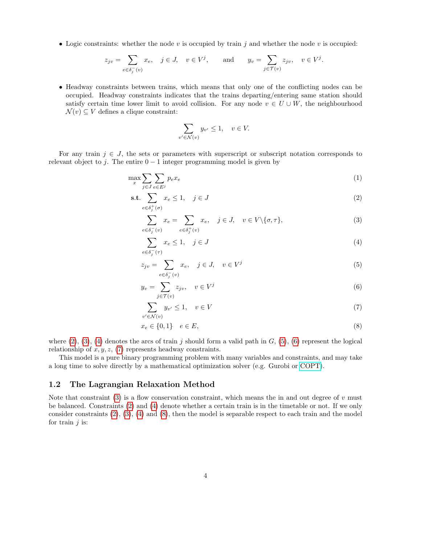• Logic constraints: whether the node  $v$  is occupied by train  $j$  and whether the node  $v$  is occupied:

$$
z_{jv} = \sum_{e \in \delta_j^-(v)} x_e, \quad j \in J, \quad v \in V^j, \quad \text{and} \quad y_v = \sum_{j \in \mathcal{T}(v)} z_{jv}, \quad v \in V^j.
$$

• Headway constraints between trains, which means that only one of the conflicting nodes can be occupied. Headway constraints indicates that the trains departing/entering same station should satisfy certain time lower limit to avoid collision. For any node  $v \in U \cup W$ , the neighbourhood  $\mathcal{N}(v) \subseteq V$  defines a clique constraint:

<span id="page-3-7"></span><span id="page-3-2"></span><span id="page-3-1"></span><span id="page-3-0"></span>
$$
\sum_{v' \in \mathcal{N}(v)} y_{v'} \le 1, \quad v \in V.
$$

For any train  $j \in J$ , the sets or parameters with superscript or subscript notation corresponds to relevant object to j. The entire  $0 - 1$  integer programming model is given by

$$
\max_{x} \sum_{j \in J} \sum_{e \in E^j} p_e x_e \tag{1}
$$

$$
\text{s.t.} \sum_{e \in \delta_j^+(\sigma)} x_e \le 1, \quad j \in J \tag{2}
$$

$$
\sum_{e \in \delta_j^-(v)} x_e = \sum_{e \in \delta_j^+(v)} x_e, \quad j \in J, \quad v \in V \setminus \{\sigma, \tau\},\tag{3}
$$

<span id="page-3-3"></span>
$$
\sum_{e \in \delta_j^-(\tau)} x_e \le 1, \quad j \in J \tag{4}
$$

$$
z_{jv} = \sum_{e \in \delta_j^-(v)} x_e, \quad j \in J, \quad v \in V^j
$$
 (5)

$$
y_v = \sum_{j \in \mathcal{T}(v)} z_{jv}, \quad v \in V^j \tag{6}
$$

<span id="page-3-6"></span><span id="page-3-5"></span><span id="page-3-4"></span>
$$
\sum_{v' \in \mathcal{N}(v)} y_{v'} \le 1, \quad v \in V \tag{7}
$$

$$
x_e \in \{0, 1\} \quad e \in E,\tag{8}
$$

where  $(2)$ ,  $(3)$ ,  $(4)$  denotes the arcs of train j should form a valid path in  $G$ ,  $(5)$ ,  $(6)$  represent the logical relationship of  $x, y, z, (7)$  $x, y, z, (7)$  represents headway constraints.

This model is a pure binary programming problem with many variables and constraints, and may take a long time to solve directly by a mathematical optimization solver (e.g. Gurobi or [COPT\)](https://shanshu.ai/copt).

#### <span id="page-3-8"></span>1.2 The Lagrangian Relaxation Method

Note that constraint [\(3\)](#page-3-1) is a flow conservation constraint, which means the in and out degree of  $v$  must be balanced. Constraints [\(2\)](#page-3-0) and [\(4\)](#page-3-2) denote whether a certain train is in the timetable or not. If we only consider constraints  $(2), (3), (4)$  $(2), (3), (4)$  $(2), (3), (4)$  $(2), (3), (4)$  $(2), (3), (4)$  and  $(8)$ , then the model is separable respect to each train and the model for train  $j$  is: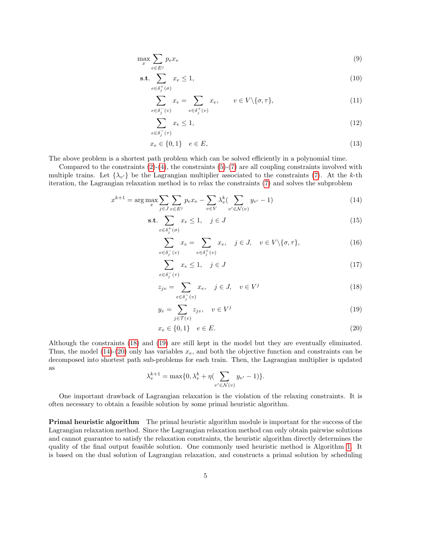$$
\max_{x} \sum_{e \in E^j} p_e x_e \tag{9}
$$

$$
\text{s.t.} \sum_{e \in \delta_j^+(σ)} x_e \le 1,\tag{10}
$$

<span id="page-4-6"></span><span id="page-4-4"></span>
$$
\sum_{e \in \delta_j^-(v)} x_e = \sum_{e \in \delta_j^+(v)} x_e, \qquad v \in V \setminus \{\sigma, \tau\},\tag{11}
$$

<span id="page-4-7"></span><span id="page-4-5"></span>
$$
\sum_{e \in \delta_j^-(\tau)} x_e \le 1,\tag{12}
$$

$$
x_e \in \{0, 1\} \quad e \in E,\tag{13}
$$

The above problem is a shortest path problem which can be solved efficiently in a polynomial time.

Compared to the constraints  $(2)-(4)$  $(2)-(4)$  $(2)-(4)$ , the constraints  $(5)-(7)$  $(5)-(7)$  $(5)-(7)$  are all coupling constraints involved with multiple trains. Let  $\{\lambda_{v'}\}$  be the Lagrangian multiplier associated to the constraints [\(7\)](#page-3-5). At the k-th iteration, the Lagrangian relaxation method is to relax the constraints [\(7\)](#page-3-5) and solves the subproblem

$$
x^{k+1} = \arg \max_{x} \sum_{j \in J} \sum_{e \in E^j} p_e x_e - \sum_{v \in V} \lambda_v^k (\sum_{v' \in \mathcal{N}(v)} y_{v'} - 1)
$$
(14)

$$
\text{s.t.} \sum_{e \in \delta_j^+(\sigma)} x_e \le 1, \quad j \in J \tag{15}
$$

<span id="page-4-2"></span>
$$
\sum_{e \in \delta_j^-(v)} x_e = \sum_{e \in \delta_j^+(v)} x_e, \quad j \in J, \quad v \in V \setminus \{\sigma, \tau\},\tag{16}
$$

<span id="page-4-0"></span>
$$
\sum_{e \in \delta_j^-(\tau)} x_e \le 1, \quad j \in J \tag{17}
$$

$$
z_{jv} = \sum_{e \in \delta_j^-(v)} x_e, \quad j \in J, \quad v \in V^j
$$
\n
$$
(18)
$$

<span id="page-4-1"></span>
$$
y_v = \sum_{j \in \mathcal{T}(v)} z_{jv}, \quad v \in V^j \tag{19}
$$

<span id="page-4-3"></span>
$$
x_e \in \{0, 1\} \quad e \in E. \tag{20}
$$

Although the constraints [\(18\)](#page-4-0) and [\(19\)](#page-4-1) are still kept in the model but they are eventually eliminated. Thus, the model [\(14\)](#page-4-2)-[\(20\)](#page-4-3) only has variables  $x_e$ , and both the objective function and constraints can be decomposed into shortest path sub-problems for each train. Then, the Lagrangian multiplier is updated as

$$
\lambda_v^{k+1} = \max\{0, \lambda_v^k + \eta \left( \sum_{v' \in \mathcal{N}(v)} y_{v'} - 1 \right) \}.
$$

One important drawback of Lagrangian relaxation is the violation of the relaxing constraints. It is often necessary to obtain a feasible solution by some primal heuristic algorithm.

Primal heuristic algorithm The primal heuristic algorithm module is important for the success of the Lagrangian relaxation method. Since the Lagrangian relaxation method can only obtain pairwise solutions and cannot guarantee to satisfy the relaxation constraints, the heuristic algorithm directly determines the quality of the final output feasible solution. One commonly used heuristic method is Algorithm [1.](#page-5-0) It is based on the dual solution of Lagrangian relaxation, and constructs a primal solution by scheduling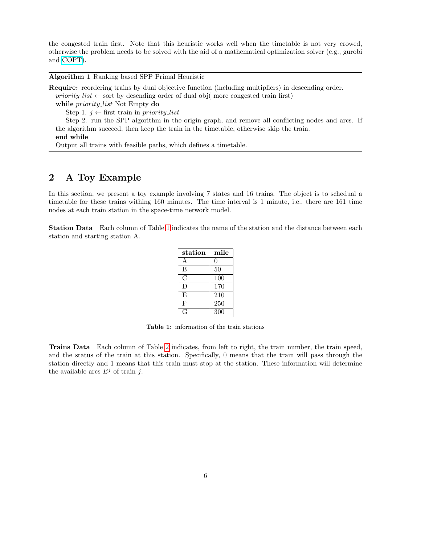the congested train first. Note that this heuristic works well when the timetable is not very crowed, otherwise the problem needs to be solved with the aid of a mathematical optimization solver (e.g., gurobi and [COPT\)](https://shanshu.ai/copt).

<span id="page-5-0"></span>Algorithm 1 Ranking based SPP Primal Heuristic

Require: reordering trains by dual objective function (including multipliers) in descending order. priority list  $\leftarrow$  sort by desending order of dual obj( more congested train first)

while *priority\_list* Not Empty do

Step 1.  $i \leftarrow$  first train in priority list

Step 2. run the SPP algorithm in the origin graph, and remove all conflicting nodes and arcs. If the algorithm succeed, then keep the train in the timetable, otherwise skip the train.

#### end while

Output all trains with feasible paths, which defines a timetable.

## <span id="page-5-2"></span>2 A Toy Example

In this section, we present a toy example involving 7 states and 16 trains. The object is to schedual a timetable for these trains withing 160 minutes. The time interval is 1 minute, i.e., there are 161 time nodes at each train station in the space-time network model.

<span id="page-5-1"></span>Station Data Each column of Table [1](#page-5-1) indicates the name of the station and the distance between each station and starting station A.

| station | mile |
|---------|------|
| A       | 0    |
| B       | 50   |
| C       | 100  |
| D)      | 170  |
| E,      | 210  |
| F       | 250  |
|         | 300  |

Table 1: information of the train stations

Trains Data Each column of Table [2](#page-6-0) indicates, from left to right, the train number, the train speed, and the status of the train at this station. Specifically, 0 means that the train will pass through the station directly and 1 means that this train must stop at the station. These information will determine the available arcs  $E^j$  of train j.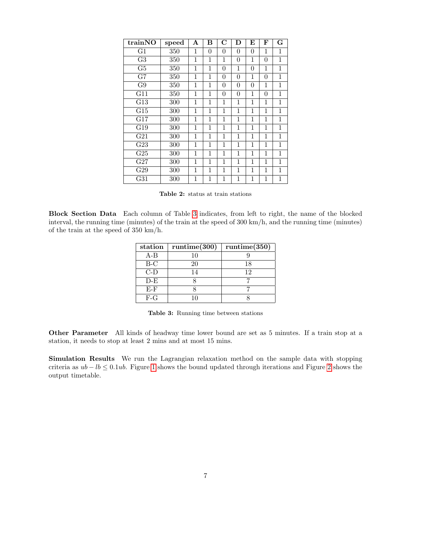<span id="page-6-0"></span>

| trainNO             | speed | A | В              | $\rm C$        | D              | E            | F        | G            |
|---------------------|-------|---|----------------|----------------|----------------|--------------|----------|--------------|
| G1                  | 350   | 1 | $\overline{0}$ | $\theta$       | 0              | 0            | 1        | 1            |
| $\overline{\rm G3}$ | 350   | 1 | 1              | 1              | 0              | 1            | $\theta$ | 1            |
| G <sub>5</sub>      | 350   | 1 | 1              | $\overline{0}$ | 1              | 0            | 1        | $\mathbf 1$  |
| G7                  | 350   | 1 | 1              | $\overline{0}$ | 0              | 1            | $\theta$ | $\mathbf{1}$ |
| G9                  | 350   | 1 | 1              | $\overline{0}$ | $\overline{0}$ | $\theta$     | 1        | 1            |
| G11                 | 350   | 1 | 1              | $\overline{0}$ | 0              | 1            | $\theta$ | 1            |
| G13                 | 300   | 1 | 1              | 1              | 1              | $\mathbf{1}$ | 1        | 1            |
| G15                 | 300   | 1 | 1              | 1              | 1              | 1            | 1        | 1            |
| G17                 | 300   | 1 | 1              | 1              | 1              | 1            | 1        | 1            |
| G19                 | 300   | 1 | 1              | 1              | 1              | 1            | 1        | $\mathbf{1}$ |
| G21                 | 300   | 1 | 1              | 1              | 1              | 1            | 1        | 1            |
| G23                 | 300   | 1 | 1              | 1              | 1              | $\mathbf{1}$ | 1        | 1            |
| G <sub>25</sub>     | 300   | 1 | 1              | 1              | 1              | 1            | 1        | 1            |
| G27                 | 300   | 1 | 1              | 1              | 1              | 1            | 1        | $\mathbf 1$  |
| G29                 | 300   | 1 | 1              | 1              | 1              | 1            | 1        | 1            |
| G31                 | 300   | 1 | 1              | 1              | 1              | 1            | 1        | 1            |

|  |  | <b>Table 2:</b> status at train stations |
|--|--|------------------------------------------|
|  |  |                                          |

<span id="page-6-1"></span>Block Section Data Each column of Table [3](#page-6-1) indicates, from left to right, the name of the blocked interval, the running time (minutes) of the train at the speed of 300 km/h, and the running time (minutes) of the train at the speed of 350 km/h.

| station | $\mathrm{rutime}(300)$ | $\mathrm{rutime}(350)$ |
|---------|------------------------|------------------------|
| $A-B$   | 10                     |                        |
| $B-C$   | 20                     | 18                     |
| $C-D$   | 14                     | 12                     |
| $D-E$   |                        |                        |
| $E-F$   |                        |                        |
| $F-G$   | 10                     |                        |

Table 3: Running time between stations

Other Parameter All kinds of headway time lower bound are set as 5 minutes. If a train stop at a station, it needs to stop at least 2 mins and at most 15 mins.

Simulation Results We run the Lagrangian relaxation method on the sample data with stopping criteria as  $ub - lb \le 0.1ub$ . Figure [1](#page-7-0) shows the bound updated through iterations and Figure [2](#page-7-1) shows the output timetable.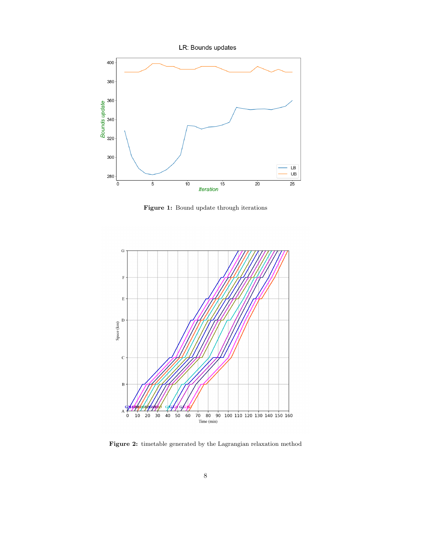LR: Bounds updates

<span id="page-7-0"></span>

Figure 1: Bound update through iterations

<span id="page-7-1"></span>

Figure 2: timetable generated by the Lagrangian relaxation method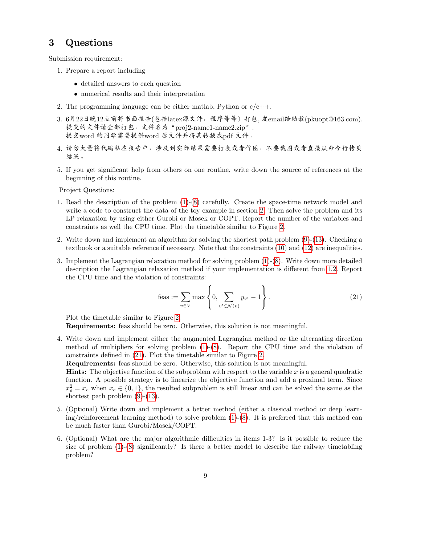### 3 Questions

Submission requirement:

- 1. Prepare a report including
	- detailed answers to each question
	- numerical results and their interpretation
- 2. The programming language can be either matlab, Python or  $c/c++$ .
- 3. <sup>6</sup>月22日晚12点前将书面报告(包括latex源文件,程序等等)打包, <sup>发</sup>email给助教(pkuopt@163.com). <sup>提</sup>交的文件请全部打包,文件名为"proj2-name1-name2.zip". <sup>提</sup>交word <sup>的</sup>同学需要提供word <sup>原</sup>文件并将其转换成pdf <sup>文</sup>件。
- 4. <sup>请</sup>勿大量将代码粘在报告中,涉及到实际结果需要打表或者作图,不要截图或者直接从命令行拷<sup>贝</sup> 结果。
- 5. If you get significant help from others on one routine, write down the source of references at the beginning of this routine.

Project Questions:

- 1. Read the description of the problem [\(1\)](#page-3-7)-[\(8\)](#page-3-6) carefully. Create the space-time network model and write a code to construct the data of the toy example in section [2.](#page-5-2) Then solve the problem and its LP relaxation by using either Gurobi or Mosek or COPT. Report the number of the variables and constraints as well the CPU time. Plot the timetable similar to Figure [2.](#page-7-1)
- 2. Write down and implement an algorithm for solving the shortest path problem [\(9\)](#page-4-4)-[\(13\)](#page-4-5). Checking a textbook or a suitable reference if necessary. Note that the constraints [\(10\)](#page-4-6) and [\(12\)](#page-4-7) are inequalities.
- 3. Implement the Lagrangian relaxation method for solving problem [\(1\)](#page-3-7)-[\(8\)](#page-3-6). Write down more detailed description the Lagrangian relaxation method if your implementation is different from [1.2.](#page-3-8) Report the CPU time and the violation of constraints:

<span id="page-8-0"></span>feas := 
$$
\sum_{v \in V} \max \left\{ 0, \sum_{v' \in \mathcal{N}(v)} y_{v'} - 1 \right\}.
$$
 (21)

Plot the timetable similar to Figure [2.](#page-7-1)

Requirements: feas should be zero. Otherwise, this solution is not meaningful.

4. Write down and implement either the augmented Lagrangian method or the alternating direction method of multipliers for solving problem [\(1\)](#page-3-7)-[\(8\)](#page-3-6). Report the CPU time and the violation of constraints defined in [\(21\)](#page-8-0). Plot the timetable similar to Figure [2.](#page-7-1)

Requirements: feas should be zero. Otherwise, this solution is not meaningful.

**Hints:** The objective function of the subproblem with respect to the variable x is a general quadratic function. A possible strategy is to linearize the objective function and add a proximal term. Since  $x_e^2 = x_e$  when  $x_e \in \{0, 1\}$ , the resulted subproblem is still linear and can be solved the same as the shortest path problem [\(9\)](#page-4-4)-[\(13\)](#page-4-5).

- 5. (Optional) Write down and implement a better method (either a classical method or deep learning/reinforcement learning method) to solve problem  $(1)-(8)$  $(1)-(8)$  $(1)-(8)$ . It is preferred that this method can be much faster than Gurobi/Mosek/COPT.
- 6. (Optional) What are the major algorithmic difficulties in items 1-3? Is it possible to reduce the size of problem  $(1)-(8)$  $(1)-(8)$  $(1)-(8)$  significantly? Is there a better model to describe the railway timetabling problem?